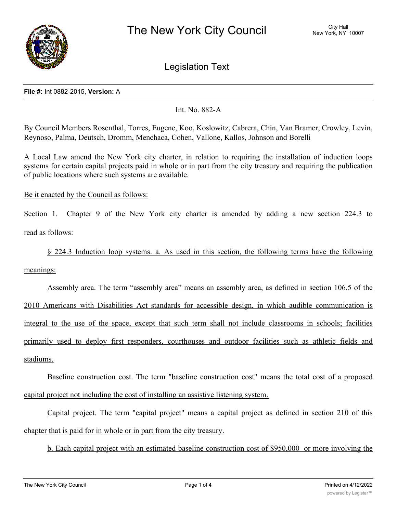

Legislation Text

## **File #:** Int 0882-2015, **Version:** A

# Int. No. 882-A

By Council Members Rosenthal, Torres, Eugene, Koo, Koslowitz, Cabrera, Chin, Van Bramer, Crowley, Levin, Reynoso, Palma, Deutsch, Dromm, Menchaca, Cohen, Vallone, Kallos, Johnson and Borelli

A Local Law amend the New York city charter, in relation to requiring the installation of induction loops systems for certain capital projects paid in whole or in part from the city treasury and requiring the publication of public locations where such systems are available.

Be it enacted by the Council as follows:

Section 1. Chapter 9 of the New York city charter is amended by adding a new section 224.3 to read as follows:

§ 224.3 Induction loop systems. a. As used in this section, the following terms have the following

meanings:

Assembly area. The term "assembly area" means an assembly area, as defined in section 106.5 of the 2010 Americans with Disabilities Act standards for accessible design, in which audible communication is integral to the use of the space, except that such term shall not include classrooms in schools; facilities primarily used to deploy first responders, courthouses and outdoor facilities such as athletic fields and stadiums.

Baseline construction cost. The term "baseline construction cost" means the total cost of a proposed capital project not including the cost of installing an assistive listening system.

Capital project. The term "capital project" means a capital project as defined in section 210 of this chapter that is paid for in whole or in part from the city treasury.

b. Each capital project with an estimated baseline construction cost of \$950,000 or more involving the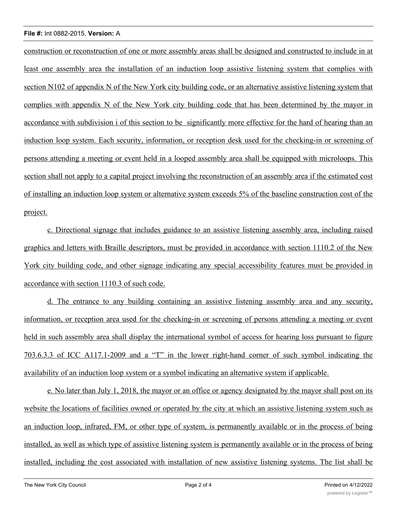## **File #:** Int 0882-2015, **Version:** A

construction or reconstruction of one or more assembly areas shall be designed and constructed to include in at least one assembly area the installation of an induction loop assistive listening system that complies with section N102 of appendix N of the New York city building code, or an alternative assistive listening system that complies with appendix N of the New York city building code that has been determined by the mayor in accordance with subdivision i of this section to be significantly more effective for the hard of hearing than an induction loop system. Each security, information, or reception desk used for the checking-in or screening of persons attending a meeting or event held in a looped assembly area shall be equipped with microloops. This section shall not apply to a capital project involving the reconstruction of an assembly area if the estimated cost of installing an induction loop system or alternative system exceeds 5% of the baseline construction cost of the project.

c. Directional signage that includes guidance to an assistive listening assembly area, including raised graphics and letters with Braille descriptors, must be provided in accordance with section 1110.2 of the New York city building code, and other signage indicating any special accessibility features must be provided in accordance with section 1110.3 of such code.

d. The entrance to any building containing an assistive listening assembly area and any security, information, or reception area used for the checking-in or screening of persons attending a meeting or event held in such assembly area shall display the international symbol of access for hearing loss pursuant to figure 703.6.3.3 of ICC A117.1-2009 and a "T" in the lower right-hand corner of such symbol indicating the availability of an induction loop system or a symbol indicating an alternative system if applicable.

e. No later than July 1, 2018, the mayor or an office or agency designated by the mayor shall post on its website the locations of facilities owned or operated by the city at which an assistive listening system such as an induction loop, infrared, FM, or other type of system, is permanently available or in the process of being installed, as well as which type of assistive listening system is permanently available or in the process of being installed, including the cost associated with installation of new assistive listening systems. The list shall be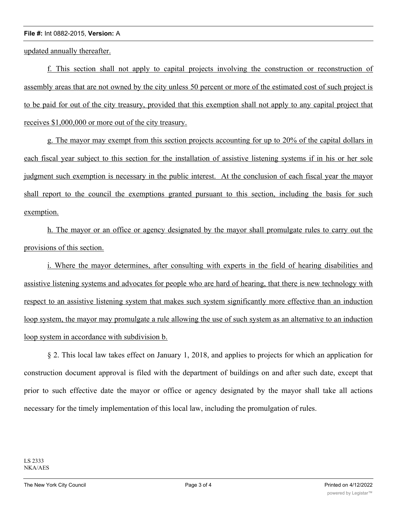### **File #:** Int 0882-2015, **Version:** A

updated annually thereafter.

f. This section shall not apply to capital projects involving the construction or reconstruction of assembly areas that are not owned by the city unless 50 percent or more of the estimated cost of such project is to be paid for out of the city treasury, provided that this exemption shall not apply to any capital project that receives \$1,000,000 or more out of the city treasury.

g. The mayor may exempt from this section projects accounting for up to 20% of the capital dollars in each fiscal year subject to this section for the installation of assistive listening systems if in his or her sole judgment such exemption is necessary in the public interest. At the conclusion of each fiscal year the mayor shall report to the council the exemptions granted pursuant to this section, including the basis for such exemption.

h. The mayor or an office or agency designated by the mayor shall promulgate rules to carry out the provisions of this section.

i. Where the mayor determines, after consulting with experts in the field of hearing disabilities and assistive listening systems and advocates for people who are hard of hearing, that there is new technology with respect to an assistive listening system that makes such system significantly more effective than an induction loop system, the mayor may promulgate a rule allowing the use of such system as an alternative to an induction loop system in accordance with subdivision b.

§ 2. This local law takes effect on January 1, 2018, and applies to projects for which an application for construction document approval is filed with the department of buildings on and after such date, except that prior to such effective date the mayor or office or agency designated by the mayor shall take all actions necessary for the timely implementation of this local law, including the promulgation of rules.